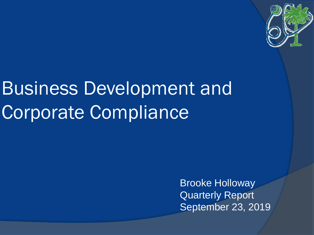

# Business Development and Corporate Compliance

Brooke Holloway Quarterly Report September 23, 2019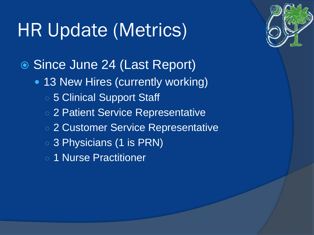## HR Update (Metrics)

Since June 24 (Last Report)

- 13 New Hires (currently working)
	- o 5 Clinical Support Staff
	- 2 Patient Service Representative
	- 2 Customer Service Representative
	- 3 Physicians (1 is PRN)
	- 1 Nurse Practitioner

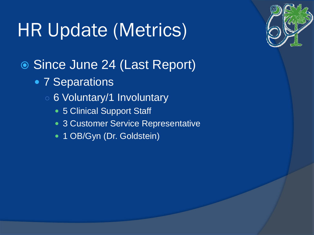# HR Update (Metrics)

- Since June 24 (Last Report)
	- 7 Separations
		- 6 Voluntary/1 Involuntary
			- 5 Clinical Support Staff
			- 3 Customer Service Representative
			- 1 OB/Gyn (Dr. Goldstein)

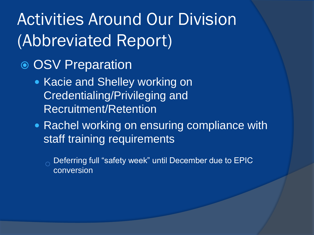- OSV Preparation
	- Kacie and Shelley working on Credentialing/Privileging and Recruitment/Retention
	- Rachel working on ensuring compliance with staff training requirements
		- Deferring full "safety week" until December due to EPIC conversion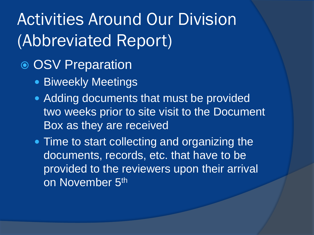- OSV Preparation
	- Biweekly Meetings
	- Adding documents that must be provided two weeks prior to site visit to the Document Box as they are received
	- Time to start collecting and organizing the documents, records, etc. that have to be provided to the reviewers upon their arrival on November 5<sup>th</sup>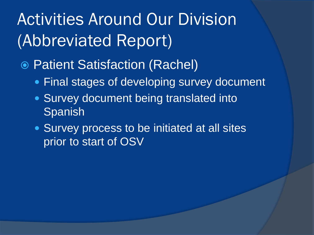- Patient Satisfaction (Rachel)
	- **Final stages of developing survey document**
	- **Survey document being translated into** Spanish
	- **Survey process to be initiated at all sites** prior to start of OSV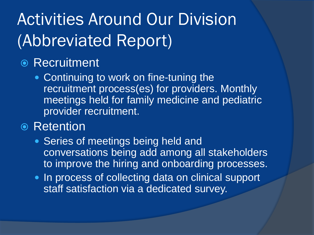#### **◎ Recruitment**

• Continuing to work on fine-tuning the recruitment process(es) for providers. Monthly meetings held for family medicine and pediatric provider recruitment.

#### **◎ Retention**

- Series of meetings being held and conversations being add among all stakeholders to improve the hiring and onboarding processes.
- In process of collecting data on clinical support staff satisfaction via a dedicated survey.